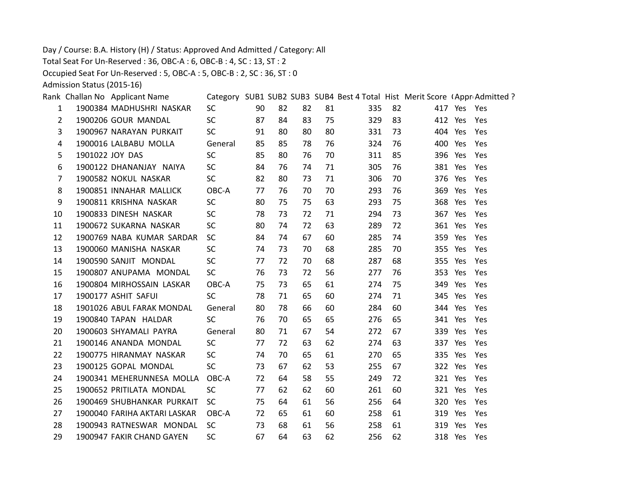Day / Course: B.A. History (H) / Status: Approved And Admitted / Category: All

Total Seat For Un-Reserved : 36, OBC-A : 6, OBC-B : 4, SC : 13, ST : 2

Occupied Seat For Un-Reserved : 5, OBC-A : 5, OBC-B : 2, SC : 36, ST : 0

Admission Status (2015-16)

|    | Rank Challan No Applicant Name |           |    |    |    |    | Category SUB1 SUB2 SUB3 SUB4 Best 4 Total Hist Merit Score (Appr Admitted? |    |             |     |
|----|--------------------------------|-----------|----|----|----|----|----------------------------------------------------------------------------|----|-------------|-----|
| 1  | 1900384 MADHUSHRI NASKAR       | <b>SC</b> | 90 | 82 | 82 | 81 | 335                                                                        | 82 | 417 Yes Yes |     |
| 2  | 1900206 GOUR MANDAL            | <b>SC</b> | 87 | 84 | 83 | 75 | 329                                                                        | 83 | 412 Yes     | Yes |
| 3  | 1900967 NARAYAN PURKAIT        | <b>SC</b> | 91 | 80 | 80 | 80 | 331                                                                        | 73 | 404 Yes     | Yes |
| 4  | 1900016 LALBABU MOLLA          | General   | 85 | 85 | 78 | 76 | 324                                                                        | 76 | 400 Yes     | Yes |
| 5  | 1901022 JOY DAS                | <b>SC</b> | 85 | 80 | 76 | 70 | 311                                                                        | 85 | 396 Yes     | Yes |
| 6  | 1900122 DHANANJAY NAIYA        | <b>SC</b> | 84 | 76 | 74 | 71 | 305                                                                        | 76 | 381 Yes     | Yes |
| 7  | 1900582 NOKUL NASKAR           | <b>SC</b> | 82 | 80 | 73 | 71 | 306                                                                        | 70 | 376 Yes     | Yes |
| 8  | 1900851 INNAHAR MALLICK        | OBC-A     | 77 | 76 | 70 | 70 | 293                                                                        | 76 | 369 Yes     | Yes |
| 9  | 1900811 KRISHNA NASKAR         | <b>SC</b> | 80 | 75 | 75 | 63 | 293                                                                        | 75 | 368 Yes     | Yes |
| 10 | 1900833 DINESH NASKAR          | <b>SC</b> | 78 | 73 | 72 | 71 | 294                                                                        | 73 | 367 Yes     | Yes |
| 11 | 1900672 SUKARNA NASKAR         | <b>SC</b> | 80 | 74 | 72 | 63 | 289                                                                        | 72 | 361 Yes     | Yes |
| 12 | 1900769 NABA KUMAR SARDAR      | <b>SC</b> | 84 | 74 | 67 | 60 | 285                                                                        | 74 | 359 Yes     | Yes |
| 13 | 1900060 MANISHA NASKAR         | <b>SC</b> | 74 | 73 | 70 | 68 | 285                                                                        | 70 | 355 Yes     | Yes |
| 14 | 1900590 SANJIT MONDAL          | <b>SC</b> | 77 | 72 | 70 | 68 | 287                                                                        | 68 | 355 Yes     | Yes |
| 15 | 1900807 ANUPAMA MONDAL         | <b>SC</b> | 76 | 73 | 72 | 56 | 277                                                                        | 76 | 353 Yes     | Yes |
| 16 | 1900804 MIRHOSSAIN LASKAR      | OBC-A     | 75 | 73 | 65 | 61 | 274                                                                        | 75 | 349 Yes     | Yes |
| 17 | 1900177 ASHIT SAFUI            | <b>SC</b> | 78 | 71 | 65 | 60 | 274                                                                        | 71 | 345 Yes     | Yes |
| 18 | 1901026 ABUL FARAK MONDAL      | General   | 80 | 78 | 66 | 60 | 284                                                                        | 60 | 344 Yes     | Yes |
| 19 | 1900840 TAPAN HALDAR           | <b>SC</b> | 76 | 70 | 65 | 65 | 276                                                                        | 65 | 341 Yes     | Yes |
| 20 | 1900603 SHYAMALI PAYRA         | General   | 80 | 71 | 67 | 54 | 272                                                                        | 67 | 339 Yes     | Yes |
| 21 | 1900146 ANANDA MONDAL          | <b>SC</b> | 77 | 72 | 63 | 62 | 274                                                                        | 63 | 337 Yes     | Yes |
| 22 | 1900775 HIRANMAY NASKAR        | SC.       | 74 | 70 | 65 | 61 | 270                                                                        | 65 | 335 Yes     | Yes |
| 23 | 1900125 GOPAL MONDAL           | <b>SC</b> | 73 | 67 | 62 | 53 | 255                                                                        | 67 | 322 Yes     | Yes |
| 24 | 1900341 MEHERUNNESA MOLLA      | OBC-A     | 72 | 64 | 58 | 55 | 249                                                                        | 72 | 321 Yes     | Yes |
| 25 | 1900652 PRITILATA MONDAL       | <b>SC</b> | 77 | 62 | 62 | 60 | 261                                                                        | 60 | 321 Yes     | Yes |
| 26 | 1900469 SHUBHANKAR PURKAIT     | <b>SC</b> | 75 | 64 | 61 | 56 | 256                                                                        | 64 | 320 Yes     | Yes |
| 27 | 1900040 FARIHA AKTARI LASKAR   | OBC-A     | 72 | 65 | 61 | 60 | 258                                                                        | 61 | 319 Yes     | Yes |
| 28 | 1900943 RATNESWAR MONDAL       | <b>SC</b> | 73 | 68 | 61 | 56 | 258                                                                        | 61 | 319 Yes     | Yes |
| 29 | 1900947 FAKIR CHAND GAYEN      | <b>SC</b> | 67 | 64 | 63 | 62 | 256                                                                        | 62 | 318 Yes     | Yes |